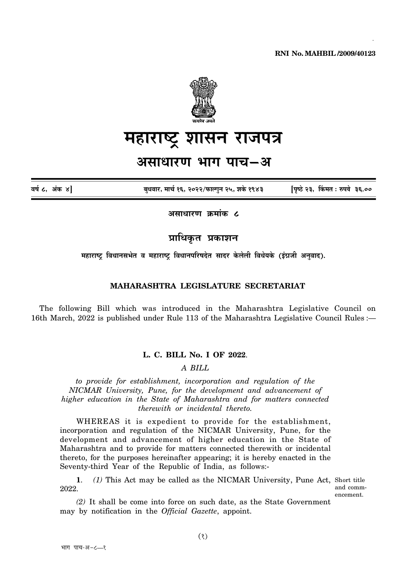

**¨É½þÉ®úɹ]Åõ ¶ÉɺÉxÉ ®úÉVÉ{ÉjÉ +ºÉÉvÉÉ®úhÉ ¦ÉÉMÉ {ÉÉSÉ-+, ¨ÉÉSÉÇ 16, 2022/¡òɱMÉÖxÉ 25, ¶ÉEäò 1943** 1

# महाराष्ट्र शासन राजपत्<del>र</del>

# असाधारण भाग पाच–अ

**´É¹ÉÇ 8, +ÆEòú 4] ¤ÉÖvÉ´ÉÉ®ú, ¨ÉÉSÉÇú 16, 2022/¡òɱMÉÖxÉ 25, ¶ÉEäò 1943 [{ÉÞ¹`äö 23, ËEò¨ÉiÉ : ¯û{ɪÉä 36.00**

असाधारण क्रमांक **८** 

**प्राधिकृत प्रकाशन** 

<u>महाराष्ट्र</u> विधानसभेत व महाराष्ट्र विधानपरिषदेत सादर केलेली विधेयके (इंग्रजी अनुवाद).

## **MAHARASHTRA LEGISLATURE SECRETARIAT**

The following Bill which was introduced in the Maharashtra Legislative Council on 16th March, 2022 is published under Rule 113 of the Maharashtra Legislative Council Rules :—

#### **L. C. BILL No. I OF 2022**.

## *A BILL*

*to provide for establishment, incorporation and regulation of the NICMAR University, Pune, for the development and advancement of higher education in the State of Maharashtra and for matters connected therewith or incidental thereto.*

WHEREAS it is expedient to provide for the establishment, incorporation and regulation of the NICMAR University, Pune, for the development and advancement of higher education in the State of Maharashtra and to provide for matters connected therewith or incidental thereto, for the purposes hereinafter appearing; it is hereby enacted in the Seventy-third Year of the Republic of India, as follows:-

1. (1) This Act may be called as the NICMAR University, Pune Act, Short title 2022.

and commencement.

*(2)* It shall be come into force on such date, as the State Government may by notification in the *Official Gazette*, appoint.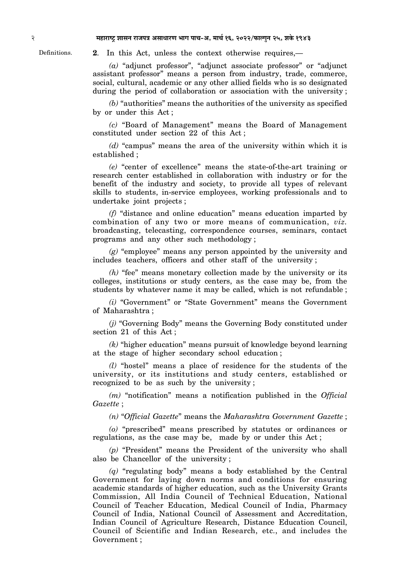Definitions. **2**. In this Act, unless the context otherwise requires,—

*(a)* "adjunct professor", "adjunct associate professor" or "adjunct assistant professor" means a person from industry, trade, commerce, social, cultural, academic or any other allied fields who is so designated during the period of collaboration or association with the university ;

*(b)* "authorities" means the authorities of the university as specified by or under this Act ;

*(c)* "Board of Management" means the Board of Management constituted under section 22 of this Act ;

*(d)* "campus" means the area of the university within which it is established ;

*(e)* "center of excellence" means the state-of-the-art training or research center established in collaboration with industry or for the benefit of the industry and society, to provide all types of relevant skills to students, in-service employees, working professionals and to undertake joint projects ;

*(f)* "distance and online education" means education imparted by combination of any two or more means of communication, *viz.* broadcasting, telecasting, correspondence courses, seminars, contact programs and any other such methodology ;

*(g)* "employee" means any person appointed by the university and includes teachers, officers and other staff of the university ;

*(h)* "fee" means monetary collection made by the university or its colleges, institutions or study centers, as the case may be, from the students by whatever name it may be called, which is not refundable ;

*(i)* "Government" or "State Government" means the Government of Maharashtra ;

*(j)* "Governing Body" means the Governing Body constituted under section 21 of this Act ;

*(k)* "higher education" means pursuit of knowledge beyond learning at the stage of higher secondary school education ;

*(l)* "hostel" means a place of residence for the students of the university, or its institutions and study centers, established or recognized to be as such by the university ;

*(m)* "notification" means a notification published in the *Official Gazette* ;

*(n)* "*Official Gazette*" means the *Maharashtra Government Gazette* ;

*(o)* "prescribed" means prescribed by statutes or ordinances or regulations, as the case may be, made by or under this Act ;

*(p)* "President" means the President of the university who shall also be Chancellor of the university ;

*(q)* "regulating body" means a body established by the Central Government for laying down norms and conditions for ensuring academic standards of higher education, such as the University Grants Commission, All India Council of Technical Education, National Council of Teacher Education, Medical Council of India, Pharmacy Council of India, National Council of Assessment and Accreditation, Indian Council of Agriculture Research, Distance Education Council, Council of Scientific and Indian Research, etc., and includes the Government ;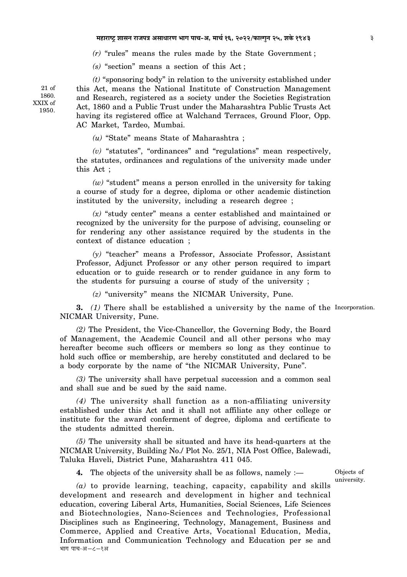*(r)* "rules" means the rules made by the State Government ;

*(s)* "section" means a section of this Act ;

*(t)* "sponsoring body" in relation to the university established under this Act, means the National Institute of Construction Management and Research, registered as a society under the Societies Registration Act, 1860 and a Public Trust under the Maharashtra Public Trusts Act having its registered office at Walchand Terraces, Ground Floor, Opp. AC Market, Tardeo, Mumbai.

*(u)* "State" means State of Maharashtra ;

*(v)* "statutes", "ordinances" and "regulations" mean respectively, the statutes, ordinances and regulations of the university made under this Act ;

*(w)* "student" means a person enrolled in the university for taking a course of study for a degree, diploma or other academic distinction instituted by the university, including a research degree ;

*(x)* "study center" means a center established and maintained or recognized by the university for the purpose of advising, counseling or for rendering any other assistance required by the students in the context of distance education ;

*(y)* "teacher" means a Professor, Associate Professor, Assistant Professor, Adjunct Professor or any other person required to impart education or to guide research or to render guidance in any form to the students for pursuing a course of study of the university ;

*(z)* "university" means the NICMAR University, Pune.

**3.** (1) There shall be established a university by the name of the Incorporation. NICMAR University, Pune.

*(2)* The President, the Vice-Chancellor, the Governing Body, the Board of Management, the Academic Council and all other persons who may hereafter become such officers or members so long as they continue to hold such office or membership, are hereby constituted and declared to be a body corporate by the name of "the NICMAR University, Pune".

*(3)* The university shall have perpetual succession and a common seal and shall sue and be sued by the said name.

*(4)* The university shall function as a non-affiliating university established under this Act and it shall not affiliate any other college or institute for the award conferment of degree, diploma and certificate to the students admitted therein.

*(5)* The university shall be situated and have its head-quarters at the NICMAR University, Building No./ Plot No. 25/1, NIA Post Office, Balewadi, Taluka Haveli, District Pune, Maharashtra 411 045.

**4.** The objects of the university shall be as follows, namely :—

Objects of university.

*(a)* to provide learning, teaching, capacity, capability and skills development and research and development in higher and technical education, covering Liberal Arts, Humanities, Social Sciences, Life Sciences and Biotechnologies, Nano-Sciences and Technologies, Professional Disciplines such as Engineering, Technology, Management, Business and Commerce, Applied and Creative Arts, Vocational Education, Media, Information and Communication Technology and Education per se and भाग पाच-अ-८-१अ

21 of 1860. XXIX of 1950.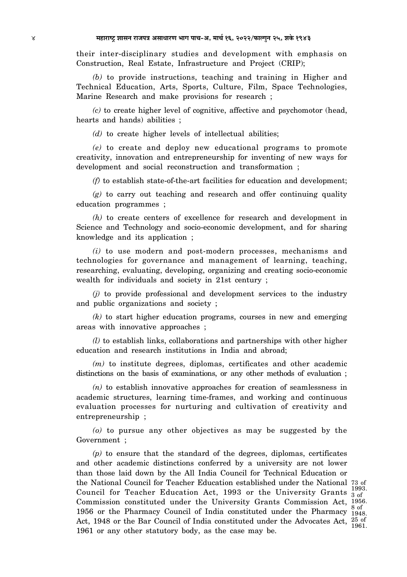their inter-disciplinary studies and development with emphasis on Construction, Real Estate, Infrastructure and Project (CRIP);

*(b)* to provide instructions, teaching and training in Higher and Technical Education, Arts, Sports, Culture, Film, Space Technologies, Marine Research and make provisions for research ;

*(c)* to create higher level of cognitive, affective and psychomotor (head, hearts and hands) abilities ;

*(d)* to create higher levels of intellectual abilities;

*(e)* to create and deploy new educational programs to promote creativity, innovation and entrepreneurship for inventing of new ways for development and social reconstruction and transformation ;

*(f)* to establish state-of-the-art facilities for education and development;

*(g)* to carry out teaching and research and offer continuing quality education programmes ;

*(h)* to create centers of excellence for research and development in Science and Technology and socio-economic development, and for sharing knowledge and its application ;

*(i)* to use modern and post-modern processes, mechanisms and technologies for governance and management of learning, teaching, researching, evaluating, developing, organizing and creating socio-economic wealth for individuals and society in 21st century ;

*(j)* to provide professional and development services to the industry and public organizations and society ;

*(k)* to start higher education programs, courses in new and emerging areas with innovative approaches ;

*(l)* to establish links, collaborations and partnerships with other higher education and research institutions in India and abroad;

*(m)* to institute degrees, diplomas, certificates and other academic distinctions on the basis of examinations, or any other methods of evaluation ;

*(n)* to establish innovative approaches for creation of seamlessness in academic structures, learning time-frames, and working and continuous evaluation processes for nurturing and cultivation of creativity and entrepreneurship ;

*(o)* to pursue any other objectives as may be suggested by the Government ;

the National Council for Teacher Education established under the National 73 of Council for Teacher Education Act, 1993 or the University Grants  $\frac{199}{3}$  of Commission constituted under the University Grants Commission Act, 1956. 1956 or the Pharmacy Council of India constituted under the Pharmacy  $\frac{901}{1948}$ . Act, 1948 or the Bar Council of India constituted under the Advocates Act,  $^{25}_{1961}$  (1961) *(p)* to ensure that the standard of the degrees, diplomas, certificates and other academic distinctions conferred by a university are not lower than those laid down by the All India Council for Technical Education or 1961 or any other statutory body, as the case may be.

1993. 8 of 25 of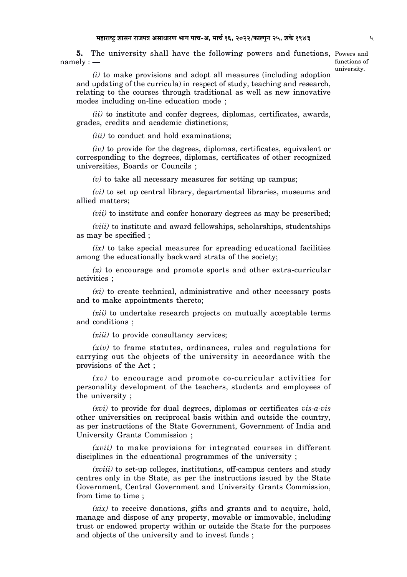5. The university shall have the following powers and functions, Powers and  $namely:$   $-$ 

functions of university.

*(i)* to make provisions and adopt all measures (including adoption and updating of the curricula) in respect of study, teaching and research, relating to the courses through traditional as well as new innovative modes including on-line education mode ;

*(ii)* to institute and confer degrees, diplomas, certificates, awards, grades, credits and academic distinctions;

*(iii)* to conduct and hold examinations;

*(iv)* to provide for the degrees, diplomas, certificates, equivalent or corresponding to the degrees, diplomas, certificates of other recognized universities, Boards or Councils ;

*(v)* to take all necessary measures for setting up campus;

*(vi)* to set up central library, departmental libraries, museums and allied matters;

*(vii)* to institute and confer honorary degrees as may be prescribed;

*(viii)* to institute and award fellowships, scholarships, studentships as may be specified ;

*(ix)* to take special measures for spreading educational facilities among the educationally backward strata of the society;

*(x)* to encourage and promote sports and other extra-curricular activities ;

*(xi)* to create technical, administrative and other necessary posts and to make appointments thereto;

*(xii)* to undertake research projects on mutually acceptable terms and conditions ;

*(xiii)* to provide consultancy services;

*(xiv)* to frame statutes, ordinances, rules and regulations for carrying out the objects of the university in accordance with the provisions of the Act ;

*(xv)* to encourage and promote co-curricular activities for personality development of the teachers, students and employees of the university ;

*(xvi)* to provide for dual degrees, diplomas or certificates *vis-a-vis* other universities on reciprocal basis within and outside the country, as per instructions of the State Government, Government of India and University Grants Commission ;

*(xvii)* to make provisions for integrated courses in different disciplines in the educational programmes of the university ;

*(xviii)* to set-up colleges, institutions, off-campus centers and study centres only in the State, as per the instructions issued by the State Government, Central Government and University Grants Commission, from time to time ;

*(xix)* to receive donations, gifts and grants and to acquire, hold, manage and dispose of any property, movable or immovable, including trust or endowed property within or outside the State for the purposes and objects of the university and to invest funds ;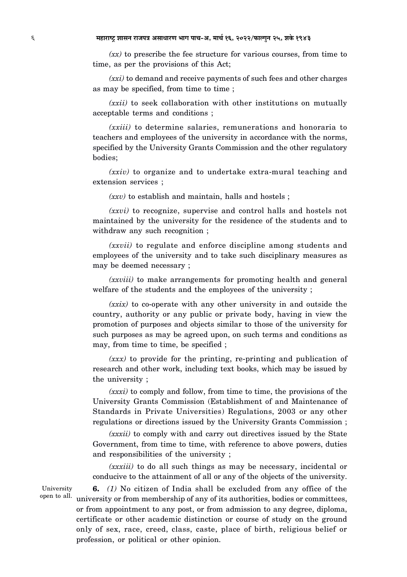*(xx)* to prescribe the fee structure for various courses, from time to time, as per the provisions of this Act;

*(xxi)* to demand and receive payments of such fees and other charges as may be specified, from time to time ;

*(xxii)* to seek collaboration with other institutions on mutually acceptable terms and conditions ;

*(xxiii)* to determine salaries, remunerations and honoraria to teachers and employees of the university in accordance with the norms, specified by the University Grants Commission and the other regulatory bodies;

*(xxiv)* to organize and to undertake extra-mural teaching and extension services ;

*(xxv)* to establish and maintain, halls and hostels ;

*(xxvi)* to recognize, supervise and control halls and hostels not maintained by the university for the residence of the students and to withdraw any such recognition :

*(xxvii)* to regulate and enforce discipline among students and employees of the university and to take such disciplinary measures as may be deemed necessary ;

*(xxviii)* to make arrangements for promoting health and general welfare of the students and the employees of the university ;

*(xxix)* to co-operate with any other university in and outside the country, authority or any public or private body, having in view the promotion of purposes and objects similar to those of the university for such purposes as may be agreed upon, on such terms and conditions as may, from time to time, be specified ;

*(xxx)* to provide for the printing, re-printing and publication of research and other work, including text books, which may be issued by the university ;

*(xxxi)* to comply and follow, from time to time, the provisions of the University Grants Commission (Establishment of and Maintenance of Standards in Private Universities) Regulations, 2003 or any other regulations or directions issued by the University Grants Commission ;

*(xxxii)* to comply with and carry out directives issued by the State Government, from time to time, with reference to above powers, duties and responsibilities of the university ;

*(xxxiii)* to do all such things as may be necessary, incidental or conducive to the attainment of all or any of the objects of the university.

University open to all.

**6.** *(1)* No citizen of India shall be excluded from any office of the university or from membership of any of its authorities, bodies or committees, or from appointment to any post, or from admission to any degree, diploma, certificate or other academic distinction or course of study on the ground only of sex, race, creed, class, caste, place of birth, religious belief or profession, or political or other opinion.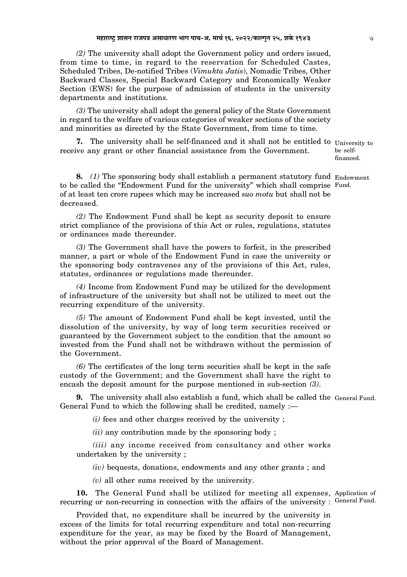*(2)* The university shall adopt the Government policy and orders issued, from time to time, in regard to the reservation for Scheduled Castes, Scheduled Tribes, De-notified Tribes (*Vimukta Jatis*), Nomadic Tribes, Other Backward Classes, Special Backward Category and Economically Weaker Section (EWS) for the purpose of admission of students in the university departments and institutions.

*(3)* The university shall adopt the general policy of the State Government in regard to the welfare of various categories of weaker sections of the society and minorities as directed by the State Government, from time to time.

**7.** The university shall be self-financed and it shall not be entitled to University to receive any grant or other financial assistance from the Government.

**8.** (1) The sponsoring body shall establish a permanent statutory fund Endowment to be called the "Endowment Fund for the university" which shall comprise Fund. of at least ten crore rupees which may be increased *suo motu* but shall not be decreased.

*(2)* The Endowment Fund shall be kept as security deposit to ensure strict compliance of the provisions of this Act or rules, regulations, statutes or ordinances made thereunder.

*(3)* The Government shall have the powers to forfeit, in the prescribed manner, a part or whole of the Endowment Fund in case the university or the sponsoring body contravenes any of the provisions of this Act, rules, statutes, ordinances or regulations made thereunder.

*(4)* Income from Endowment Fund may be utilized for the development of infrastructure of the university but shall not be utilized to meet out the recurring expenditure of the university.

*(5)* The amount of Endowment Fund shall be kept invested, until the dissolution of the university, by way of long term securities received or guaranteed by the Government subject to the condition that the amount so invested from the Fund shall not be withdrawn without the permission of the Government.

*(6)* The certificates of the long term securities shall be kept in the safe custody of the Government; and the Government shall have the right to encash the deposit amount for the purpose mentioned in sub-section *(3)*.

**9.** The university shall also establish a fund, which shall be called the General Fund. General Fund to which the following shall be credited, namely :—

*(i)* fees and other charges received by the university ;

*(ii)* any contribution made by the sponsoring body ;

*(iii)* any income received from consultancy and other works undertaken by the university ;

*(iv)* bequests, donations, endowments and any other grants ; and

*(v)* all other sums received by the university.

10. The General Fund shall be utilized for meeting all expenses, Application of recurring or non-recurring in connection with the affairs of the university : General Fund.

Provided that, no expenditure shall be incurred by the university in excess of the limits for total recurring expenditure and total non-recurring expenditure for the year, as may be fixed by the Board of Management, without the prior approval of the Board of Management.

be selffinanced.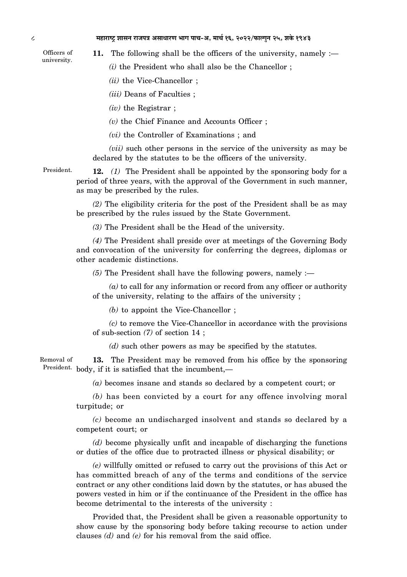Officers of university.

**11.** The following shall be the officers of the university, namely :—

*(i)* the President who shall also be the Chancellor ;

*(ii)* the Vice-Chancellor ;

*(iii)* Deans of Faculties ;

*(iv)* the Registrar ;

*(v)* the Chief Finance and Accounts Officer ;

*(vi)* the Controller of Examinations ; and

*(vii)* such other persons in the service of the university as may be declared by the statutes to be the officers of the university.

President. **12.** *(1)* The President shall be appointed by the sponsoring body for a period of three years, with the approval of the Government in such manner, as may be prescribed by the rules.

> *(2)* The eligibility criteria for the post of the President shall be as may be prescribed by the rules issued by the State Government.

*(3)* The President shall be the Head of the university.

*(4)* The President shall preside over at meetings of the Governing Body and convocation of the university for conferring the degrees, diplomas or other academic distinctions.

*(5)* The President shall have the following powers, namely :—

*(a)* to call for any information or record from any officer or authority of the university, relating to the affairs of the university ;

*(b)* to appoint the Vice-Chancellor ;

*(c)* to remove the Vice-Chancellor in accordance with the provisions of sub-section *(7)* of section 14 ;

*(d)* such other powers as may be specified by the statutes.

Removal of President. body, if it is satisfied that the incumbent,— **13.** The President may be removed from his office by the sponsoring

*(a)* becomes insane and stands so declared by a competent court; or

*(b)* has been convicted by a court for any offence involving moral turpitude; or

*(c)* become an undischarged insolvent and stands so declared by a competent court; or

*(d)* become physically unfit and incapable of discharging the functions or duties of the office due to protracted illness or physical disability; or

*(e)* willfully omitted or refused to carry out the provisions of this Act or has committed breach of any of the terms and conditions of the service contract or any other conditions laid down by the statutes, or has abused the powers vested in him or if the continuance of the President in the office has become detrimental to the interests of the university :

Provided that, the President shall be given a reasonable opportunity to show cause by the sponsoring body before taking recourse to action under clauses *(d)* and *(e)* for his removal from the said office.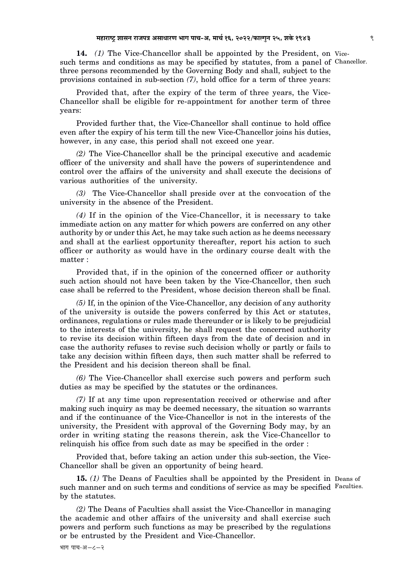14. (1) The Vice-Chancellor shall be appointed by the President, on Vicesuch terms and conditions as may be specified by statutes, from a panel of Chancellor. three persons recommended by the Governing Body and shall, subject to the provisions contained in sub-section *(7)*, hold office for a term of three years:

Provided that, after the expiry of the term of three years, the Vice-Chancellor shall be eligible for re-appointment for another term of three years:

Provided further that, the Vice-Chancellor shall continue to hold office even after the expiry of his term till the new Vice-Chancellor joins his duties, however, in any case, this period shall not exceed one year.

*(2)* The Vice-Chancellor shall be the principal executive and academic officer of the university and shall have the powers of superintendence and control over the affairs of the university and shall execute the decisions of various authorities of the university.

*(3)* The Vice-Chancellor shall preside over at the convocation of the university in the absence of the President.

*(4)* If in the opinion of the Vice-Chancellor, it is necessary to take immediate action on any matter for which powers are conferred on any other authority by or under this Act, he may take such action as he deems necessary and shall at the earliest opportunity thereafter, report his action to such officer or authority as would have in the ordinary course dealt with the matter :

Provided that, if in the opinion of the concerned officer or authority such action should not have been taken by the Vice-Chancellor, then such case shall be referred to the President, whose decision thereon shall be final.

*(5)* If, in the opinion of the Vice-Chancellor, any decision of any authority of the university is outside the powers conferred by this Act or statutes, ordinances, regulations or rules made thereunder or is likely to be prejudicial to the interests of the university, he shall request the concerned authority to revise its decision within fifteen days from the date of decision and in case the authority refuses to revise such decision wholly or partly or fails to take any decision within fifteen days, then such matter shall be referred to the President and his decision thereon shall be final.

*(6)* The Vice-Chancellor shall exercise such powers and perform such duties as may be specified by the statutes or the ordinances.

*(7)* If at any time upon representation received or otherwise and after making such inquiry as may be deemed necessary, the situation so warrants and if the continuance of the Vice-Chancellor is not in the interests of the university, the President with approval of the Governing Body may, by an order in writing stating the reasons therein, ask the Vice-Chancellor to relinquish his office from such date as may be specified in the order :

Provided that, before taking an action under this sub-section, the Vice-Chancellor shall be given an opportunity of being heard.

15. (1) The Deans of Faculties shall be appointed by the President in Deans of such manner and on such terms and conditions of service as may be specified Faculties. by the statutes.

*(2)* The Deans of Faculties shall assist the Vice-Chancellor in managing the academic and other affairs of the university and shall exercise such powers and perform such functions as may be prescribed by the regulations or be entrusted by the President and Vice-Chancellor.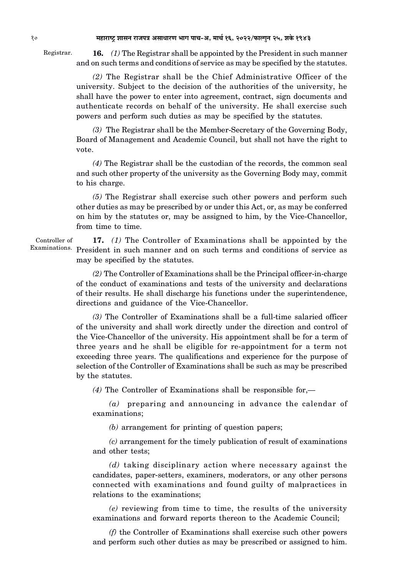Registrar.

**16.** *(1)* The Registrar shall be appointed by the President in such manner and on such terms and conditions of service as may be specified by the statutes.

*(2)* The Registrar shall be the Chief Administrative Officer of the university. Subject to the decision of the authorities of the university, he shall have the power to enter into agreement, contract, sign documents and authenticate records on behalf of the university. He shall exercise such powers and perform such duties as may be specified by the statutes.

*(3)* The Registrar shall be the Member-Secretary of the Governing Body, Board of Management and Academic Council, but shall not have the right to vote.

*(4)* The Registrar shall be the custodian of the records, the common seal and such other property of the university as the Governing Body may, commit to his charge.

*(5)* The Registrar shall exercise such other powers and perform such other duties as may be prescribed by or under this Act, or, as may be conferred on him by the statutes or, may be assigned to him, by the Vice-Chancellor, from time to time.

Examinations. President in such manner and on such terms and conditions of service as **17.** *(1)* The Controller of Examinations shall be appointed by the may be specified by the statutes.

> *(2)* The Controller of Examinations shall be the Principal officer-in-charge of the conduct of examinations and tests of the university and declarations of their results. He shall discharge his functions under the superintendence, directions and guidance of the Vice-Chancellor.

> *(3)* The Controller of Examinations shall be a full-time salaried officer of the university and shall work directly under the direction and control of the Vice-Chancellor of the university. His appointment shall be for a term of three years and he shall be eligible for re-appointment for a term not exceeding three years. The qualifications and experience for the purpose of selection of the Controller of Examinations shall be such as may be prescribed by the statutes.

*(4)* The Controller of Examinations shall be responsible for,—

*(a)* preparing and announcing in advance the calendar of examinations;

*(b)* arrangement for printing of question papers;

*(c)* arrangement for the timely publication of result of examinations and other tests;

*(d)* taking disciplinary action where necessary against the candidates, paper-setters, examiners, moderators, or any other persons connected with examinations and found guilty of malpractices in relations to the examinations;

*(e)* reviewing from time to time, the results of the university examinations and forward reports thereon to the Academic Council;

*(f)* the Controller of Examinations shall exercise such other powers and perform such other duties as may be prescribed or assigned to him.

Controller of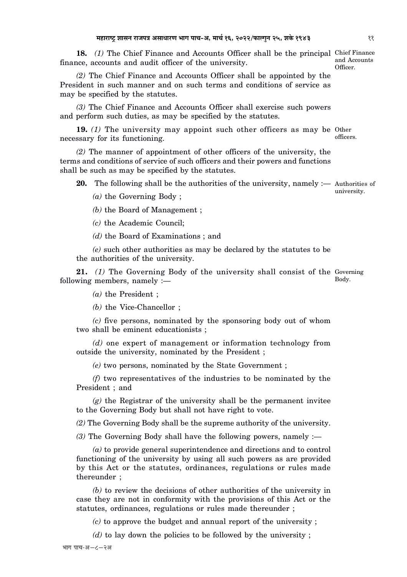18. (1) The Chief Finance and Accounts Officer shall be the principal Chief Finance and Accounts Officer. finance, accounts and audit officer of the university.

*(2)* The Chief Finance and Accounts Officer shall be appointed by the President in such manner and on such terms and conditions of service as may be specified by the statutes.

*(3)* The Chief Finance and Accounts Officer shall exercise such powers and perform such duties, as may be specified by the statutes.

19. (1) The university may appoint such other officers as may be Other officers. necessary for its functioning.

*(2)* The manner of appointment of other officers of the university, the terms and conditions of service of such officers and their powers and functions shall be such as may be specified by the statutes.

**20.** The following shall be the authorities of the university, namely :— Authorities of university.

*(a)* the Governing Body ;

*(b)* the Board of Management ;

*(c)* the Academic Council;

*(d)* the Board of Examinations ; and

*(e)* such other authorities as may be declared by the statutes to be the authorities of the university.

21. (1) The Governing Body of the university shall consist of the Governing Body. following members, namely :—

*(a)* the President ;

*(b)* the Vice-Chancellor ;

*(c)* five persons, nominated by the sponsoring body out of whom two shall be eminent educationists ;

*(d)* one expert of management or information technology from outside the university, nominated by the President ;

*(e)* two persons, nominated by the State Government ;

*(f)* two representatives of the industries to be nominated by the President ; and

*(g)* the Registrar of the university shall be the permanent invitee to the Governing Body but shall not have right to vote.

*(2)* The Governing Body shall be the supreme authority of the university.

*(3)* The Governing Body shall have the following powers, namely :—

*(a)* to provide general superintendence and directions and to control functioning of the university by using all such powers as are provided by this Act or the statutes, ordinances, regulations or rules made thereunder ;

*(b)* to review the decisions of other authorities of the university in case they are not in conformity with the provisions of this Act or the statutes, ordinances, regulations or rules made thereunder ;

*(c)* to approve the budget and annual report of the university ;

*(d)* to lay down the policies to be followed by the university ;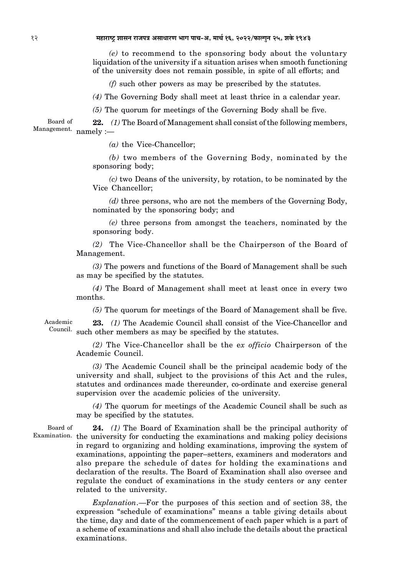12 **¨É½þÉ®úɹ]Åõ ¶ÉɺÉxÉ ®úÉVÉ{ÉjÉ +ºÉÉvÉÉ®úhÉ ¦ÉÉMÉ {ÉÉSÉ-+ú, ¨ÉÉSÉÇ 16, 2022/¡òɱMÉÖxÉ 25, ¶ÉEäò 1943**

*(e)* to recommend to the sponsoring body about the voluntary liquidation of the university if a situation arises when smooth functioning of the university does not remain possible, in spite of all efforts; and

*(f)* such other powers as may be prescribed by the statutes.

*(4)* The Governing Body shall meet at least thrice in a calendar year.

*(5)* The quorum for meetings of the Governing Body shall be five.

Board of Management. namely :— **22.** *(1)* The Board of Management shall consist of the following members,

*(a)* the Vice-Chancellor;

*(b)* two members of the Governing Body, nominated by the sponsoring body;

*(c)* two Deans of the university, by rotation, to be nominated by the Vice Chancellor;

*(d)* three persons, who are not the members of the Governing Body, nominated by the sponsoring body; and

*(e)* three persons from amongst the teachers, nominated by the sponsoring body.

*(2)* The Vice-Chancellor shall be the Chairperson of the Board of Management.

*(3)* The powers and functions of the Board of Management shall be such as may be specified by the statutes.

*(4)* The Board of Management shall meet at least once in every two months.

*(5)* The quorum for meetings of the Board of Management shall be five.

Academic Council. such other members as may be specified by the statutes. **23.** *(1)* The Academic Council shall consist of the Vice-Chancellor and

> *(2)* The Vice-Chancellor shall be the e*x officio* Chairperson of the Academic Council.

> *(3)* The Academic Council shall be the principal academic body of the university and shall, subject to the provisions of this Act and the rules, statutes and ordinances made thereunder, co-ordinate and exercise general supervision over the academic policies of the university.

> *(4)* The quorum for meetings of the Academic Council shall be such as may be specified by the statutes.

Board of

Examination. the university for conducting the examinations and making policy decisions **24.** *(1)* The Board of Examination shall be the principal authority of in regard to organizing and holding examinations, improving the system of examinations, appointing the paper–setters, examiners and moderators and also prepare the schedule of dates for holding the examinations and declaration of the results. The Board of Examination shall also oversee and regulate the conduct of examinations in the study centers or any center related to the university.

> *Explanation*.—For the purposes of this section and of section 38, the expression "schedule of examinations" means a table giving details about the time, day and date of the commencement of each paper which is a part of a scheme of examinations and shall also include the details about the practical examinations.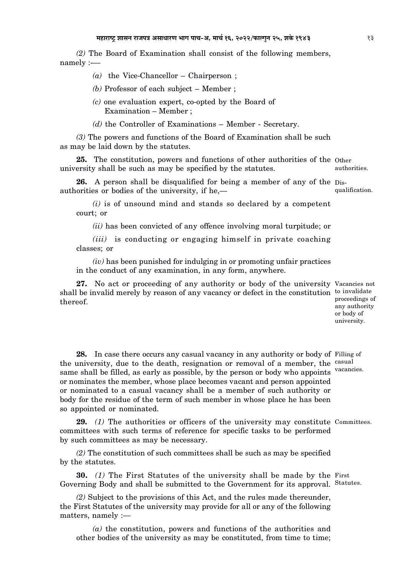*(2)* The Board of Examination shall consist of the following members, namely :--

*(a)* the Vice-Chancellor – Chairperson ;

- *(b)* Professor of each subject Member ;
- *(c)* one evaluation expert, co-opted by the Board of Examination – Member ;
- *(d)* the Controller of Examinations Member Secretary.

*(3)* The powers and functions of the Board of Examination shall be such as may be laid down by the statutes.

25. The constitution, powers and functions of other authorities of the Other university shall be such as may be specified by the statutes.

26. A person shall be disqualified for being a member of any of the Disauthorities or bodies of the university, if he,—

*(i)* is of unsound mind and stands so declared by a competent court; or

*(ii)* has been convicted of any offence involving moral turpitude; or

*(iii)* is conducting or engaging himself in private coaching classes; or

*(iv)* has been punished for indulging in or promoting unfair practices in the conduct of any examination, in any form, anywhere.

27. No act or proceeding of any authority or body of the university Vacancies not shall be invalid merely by reason of any vacancy or defect in the constitution to invalidate thereof.

proceedings of any authority or body of university.

28. In case there occurs any casual vacancy in any authority or body of Filling of the university, due to the death, resignation or removal of a member, the <sup>casual</sup> same shall be filled, as early as possible, by the person or body who appoints vacancies. or nominates the member, whose place becomes vacant and person appointed or nominated to a casual vacancy shall be a member of such authority or body for the residue of the term of such member in whose place he has been so appointed or nominated.

29. (1) The authorities or officers of the university may constitute Committees. committees with such terms of reference for specific tasks to be performed by such committees as may be necessary.

*(2)* The constitution of such committees shall be such as may be specified by the statutes.

**30.** (1) The First Statutes of the university shall be made by the First Governing Body and shall be submitted to the Government for its approval. Statutes.

*(2)* Subject to the provisions of this Act, and the rules made thereunder, the First Statutes of the university may provide for all or any of the following matters, namely :—

*(a)* the constitution, powers and functions of the authorities and other bodies of the university as may be constituted, from time to time;

authorities.

qualification.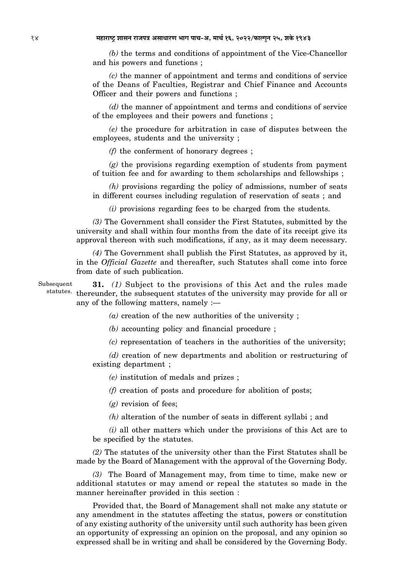*(b)* the terms and conditions of appointment of the Vice-Chancellor and his powers and functions ;

*(c)* the manner of appointment and terms and conditions of service of the Deans of Faculties, Registrar and Chief Finance and Accounts Officer and their powers and functions ;

*(d)* the manner of appointment and terms and conditions of service of the employees and their powers and functions ;

*(e)* the procedure for arbitration in case of disputes between the employees, students and the university ;

*(f)* the conferment of honorary degrees ;

*(g)* the provisions regarding exemption of students from payment of tuition fee and for awarding to them scholarships and fellowships ;

*(h)* provisions regarding the policy of admissions, number of seats in different courses including regulation of reservation of seats ; and

*(i)* provisions regarding fees to be charged from the students.

*(3)* The Government shall consider the First Statutes, submitted by the university and shall within four months from the date of its receipt give its approval thereon with such modifications, if any, as it may deem necessary.

*(4)* The Government shall publish the First Statutes, as approved by it, in the *Official Gazette* and thereafter, such Statutes shall come into force from date of such publication.

Subsequent statutes. thereunder, the subsequent statutes of the university may provide for all or **31.** *(1)* Subject to the provisions of this Act and the rules made any of the following matters, namely :—

*(a)* creation of the new authorities of the university ;

*(b)* accounting policy and financial procedure ;

*(c)* representation of teachers in the authorities of the university;

*(d)* creation of new departments and abolition or restructuring of existing department ;

*(e)* institution of medals and prizes ;

*(f)* creation of posts and procedure for abolition of posts;

*(g)* revision of fees;

*(h)* alteration of the number of seats in different syllabi ; and

*(i)* all other matters which under the provisions of this Act are to be specified by the statutes.

*(2)* The statutes of the university other than the First Statutes shall be made by the Board of Management with the approval of the Governing Body.

*(3)* The Board of Management may, from time to time, make new or additional statutes or may amend or repeal the statutes so made in the manner hereinafter provided in this section :

Provided that, the Board of Management shall not make any statute or any amendment in the statutes affecting the status, powers or constitution of any existing authority of the university until such authority has been given an opportunity of expressing an opinion on the proposal, and any opinion so expressed shall be in writing and shall be considered by the Governing Body.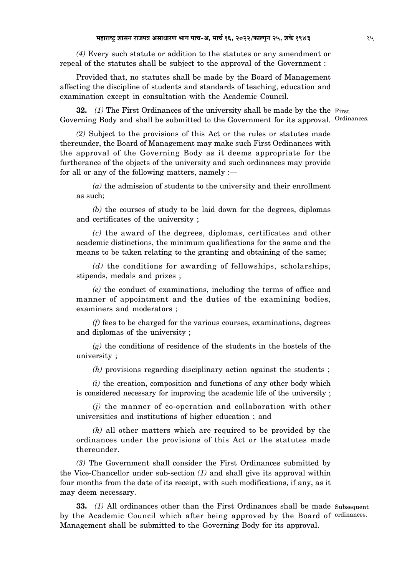*(4)* Every such statute or addition to the statutes or any amendment or repeal of the statutes shall be subject to the approval of the Government :

Provided that, no statutes shall be made by the Board of Management affecting the discipline of students and standards of teaching, education and examination except in consultation with the Academic Council.

**32.** (1) The First Ordinances of the university shall be made by the the First Governing Body and shall be submitted to the Government for its approval. Ordinances.

*(2)* Subject to the provisions of this Act or the rules or statutes made thereunder, the Board of Management may make such First Ordinances with the approval of the Governing Body as it deems appropriate for the furtherance of the objects of the university and such ordinances may provide for all or any of the following matters, namely :—

*(a)* the admission of students to the university and their enrollment as such;

*(b)* the courses of study to be laid down for the degrees, diplomas and certificates of the university ;

*(c)* the award of the degrees, diplomas, certificates and other academic distinctions, the minimum qualifications for the same and the means to be taken relating to the granting and obtaining of the same;

*(d)* the conditions for awarding of fellowships, scholarships, stipends, medals and prizes ;

*(e)* the conduct of examinations, including the terms of office and manner of appointment and the duties of the examining bodies, examiners and moderators ;

*(f)* fees to be charged for the various courses, examinations, degrees and diplomas of the university ;

*(g)* the conditions of residence of the students in the hostels of the university ;

*(h)* provisions regarding disciplinary action against the students ;

*(i)* the creation, composition and functions of any other body which is considered necessary for improving the academic life of the university ;

*(j)* the manner of co-operation and collaboration with other universities and institutions of higher education ; and

*(k)* all other matters which are required to be provided by the ordinances under the provisions of this Act or the statutes made thereunder.

*(3)* The Government shall consider the First Ordinances submitted by the Vice-Chancellor under sub-section *(1)* and shall give its approval within four months from the date of its receipt, with such modifications, if any, as it may deem necessary.

**33.** (1) All ordinances other than the First Ordinances shall be made Subsequent by the Academic Council which after being approved by the Board of ordinances. Management shall be submitted to the Governing Body for its approval.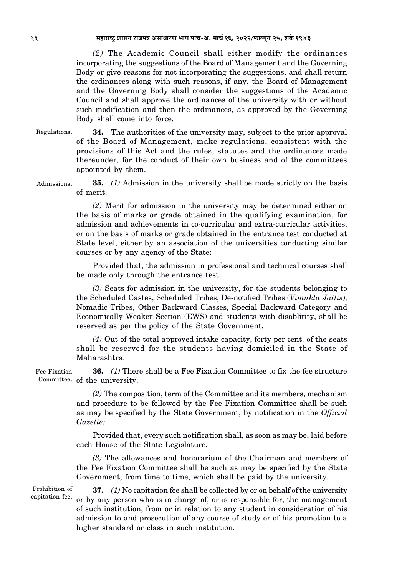16 **¨É½þÉ®úɹ]Åõ ¶ÉɺÉxÉ ®úÉVÉ{ÉjÉ +ºÉÉvÉÉ®úhÉ ¦ÉÉMÉ {ÉÉSÉ-+ú, ¨ÉÉSÉÇ 16, 2022/¡òɱMÉÖxÉ 25, ¶ÉEäò 1943**

*(2)* The Academic Council shall either modify the ordinances incorporating the suggestions of the Board of Management and the Governing Body or give reasons for not incorporating the suggestions, and shall return the ordinances along with such reasons, if any, the Board of Management and the Governing Body shall consider the suggestions of the Academic Council and shall approve the ordinances of the university with or without such modification and then the ordinances, as approved by the Governing Body shall come into force.

Regulations. **34.** The authorities of the university may, subject to the prior approval of the Board of Management, make regulations, consistent with the provisions of this Act and the rules, statutes and the ordinances made thereunder, for the conduct of their own business and of the committees appointed by them.

Admissions. **35.** *(1)* Admission in the university shall be made strictly on the basis of merit.

> *(2)* Merit for admission in the university may be determined either on the basis of marks or grade obtained in the qualifying examination, for admission and achievements in co-curricular and extra-curricular activities, or on the basis of marks or grade obtained in the entrance test conducted at State level, either by an association of the universities conducting similar courses or by any agency of the State:

> Provided that, the admission in professional and technical courses shall be made only through the entrance test.

> *(3)* Seats for admission in the university, for the students belonging to the Scheduled Castes, Scheduled Tribes, De-notified Tribes (*Vimukta Jattis*), Nomadic Tribes, Other Backward Classes, Special Backward Category and Economically Weaker Section (EWS) and students with disablitity, shall be reserved as per the policy of the State Government.

> *(4)* Out of the total approved intake capacity, forty per cent. of the seats shall be reserved for the students having domiciled in the State of Maharashtra.

Fee Fixation Committee. of the university. **36.** *(1)* There shall be a Fee Fixation Committee to fix the fee structure

> *(2)* The composition, term of the Committee and its members, mechanism and procedure to be followed by the Fee Fixation Committee shall be such as may be specified by the State Government, by notification in the *Official Gazette:*

> Provided that, every such notification shall, as soon as may be, laid before each House of the State Legislature.

> *(3)* The allowances and honorarium of the Chairman and members of the Fee Fixation Committee shall be such as may be specified by the State Government, from time to time, which shall be paid by the university.

Prohibition of capitation fee.

**37.** *(1)* No capitation fee shall be collected by or on behalf of the university or by any person who is in charge of, or is responsible for, the management of such institution, from or in relation to any student in consideration of his admission to and prosecution of any course of study or of his promotion to a higher standard or class in such institution.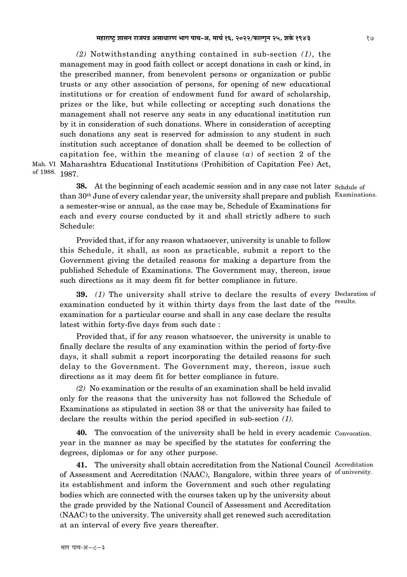Mah. VI Maharashtra Educational Institutions (Prohibition of Capitation Fee) Act, of 1988. 1987. *(2)* Notwithstanding anything contained in sub-section *(1)*, the management may in good faith collect or accept donations in cash or kind, in the prescribed manner, from benevolent persons or organization or public trusts or any other association of persons, for opening of new educational institutions or for creation of endowment fund for award of scholarship, prizes or the like, but while collecting or accepting such donations the management shall not reserve any seats in any educational institution run by it in consideration of such donations. Where in consideration of accepting such donations any seat is reserved for admission to any student in such institution such acceptance of donation shall be deemed to be collection of capitation fee, within the meaning of clause (*a*) of section 2 of the

**38.** At the beginning of each academic session and in any case not later Schdule of than 30<sup>th</sup> June of every calendar year, the university shall prepare and publish Examinations. a semester-wise or annual, as the case may be, Schedule of Examinations for each and every course conducted by it and shall strictly adhere to such Schedule:

Provided that, if for any reason whatsoever, university is unable to follow this Schedule, it shall, as soon as practicable, submit a report to the Government giving the detailed reasons for making a departure from the published Schedule of Examinations. The Government may, thereon, issue such directions as it may deem fit for better compliance in future.

**39.** (1) The university shall strive to declare the results of every Declaration of results. examination conducted by it within thirty days from the last date of the examination for a particular course and shall in any case declare the results latest within forty-five days from such date :

Provided that, if for any reason whatsoever, the university is unable to finally declare the results of any examination within the period of forty-five days, it shall submit a report incorporating the detailed reasons for such delay to the Government. The Government may, thereon, issue such directions as it may deem fit for better compliance in future.

*(2)* No examination or the results of an examination shall be held invalid only for the reasons that the university has not followed the Schedule of Examinations as stipulated in section 38 or that the university has failed to declare the results within the period specified in sub-section *(1).*

40. The convocation of the university shall be held in every academic Convocation. year in the manner as may be specified by the statutes for conferring the degrees, diplomas or for any other purpose.

41. The university shall obtain accreditation from the National Council Accreditation of university. of Assessment and Accreditation (NAAC), Bangalore, within three years of its establishment and inform the Government and such other regulating bodies which are connected with the courses taken up by the university about the grade provided by the National Council of Assessment and Accreditation (NAAC) to the university. The university shall get renewed such accreditation at an interval of every five years thereafter.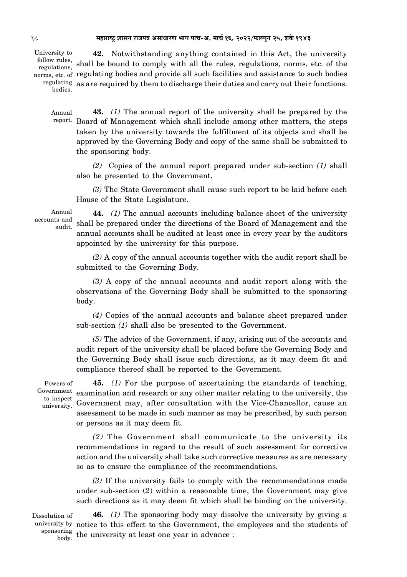#### 18 **¨É½þÉ®úɹ]Åõ ¶ÉɺÉxÉ ®úÉVÉ{ÉjÉ +ºÉÉvÉÉ®úhÉ ¦ÉÉMÉ {ÉÉSÉ-+ú, ¨ÉÉSÉÇ 16, 2022/¡òɱMÉÖxÉ 25, ¶ÉEäò 1943**

University to follow rules, bodies.

regulations, shall be bound to comply with all the rules, regulations, norms, etc. of the norms, etc. of regulating bodies and provide all such facilities and assistance to such bodies regulating as are required by them to discharge their duties and carry out their functions. **42.** Notwithstanding anything contained in this Act, the university

Annual report. Board of Management which shall include among other matters, the steps **43.** *(1)* The annual report of the university shall be prepared by the taken by the university towards the fulfillment of its objects and shall be approved by the Governing Body and copy of the same shall be submitted to the sponsoring body.

*(2)* Copies of the annual report prepared under sub-section *(1)* shall also be presented to the Government.

*(3)* The State Government shall cause such report to be laid before each House of the State Legislature.

Annual accounts and audit.

**44.** *(1)* The annual accounts including balance sheet of the university shall be prepared under the directions of the Board of Management and the annual accounts shall be audited at least once in every year by the auditors appointed by the university for this purpose.

*(2)* A copy of the annual accounts together with the audit report shall be submitted to the Governing Body.

*(3)* A copy of the annual accounts and audit report along with the observations of the Governing Body shall be submitted to the sponsoring body.

*(4)* Copies of the annual accounts and balance sheet prepared under sub-section *(1)* shall also be presented to the Government.

*(5)* The advice of the Government, if any, arising out of the accounts and audit report of the university shall be placed before the Governing Body and the Governing Body shall issue such directions, as it may deem fit and compliance thereof shall be reported to the Government.

Powers of Government to inspect university.

**45.** *(1)* For the purpose of ascertaining the standards of teaching, examination and research or any other matter relating to the university, the Government may, after consultation with the Vice-Chancellor, cause an assessment to be made in such manner as may be prescribed, by such person or persons as it may deem fit.

*(2)* The Government shall communicate to the university its recommendations in regard to the result of such assessment for corrective action and the university shall take such corrective measures as are necessary so as to ensure the compliance of the recommendations.

*(3)* If the university fails to comply with the recommendations made under sub-section (*2*) within a reasonable time, the Government may give such directions as it may deem fit which shall be binding on the university.

Dissolution of sponsoring

university by notice to this effect to the Government, the employees and the students of  $\frac{\text{diag}}{\text{body}}$  the university at least one year in advance : **46.** *(1)* The sponsoring body may dissolve the university by giving a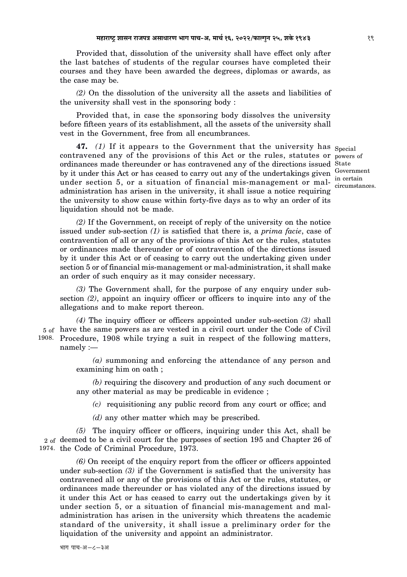Provided that, dissolution of the university shall have effect only after the last batches of students of the regular courses have completed their courses and they have been awarded the degrees, diplomas or awards, as the case may be.

*(2)* On the dissolution of the university all the assets and liabilities of the university shall vest in the sponsoring body :

Provided that, in case the sponsoring body dissolves the university before fifteen years of its establishment, all the assets of the university shall vest in the Government, free from all encumbrances.

**47.** *(1)* If it appears to the Government that the university has  $_{\text{Special}}$ contravened any of the provisions of this Act or the rules, statutes or powers of ordinances made thereunder or has contravened any of the directions issued State by it under this Act or has ceased to carry out any of the undertakings given under section 5, or a situation of financial mis-management or maladministration has arisen in the university, it shall issue a notice requiring the university to show cause within forty-five days as to why an order of its liquidation should not be made.

Government in certain circumstances.

*(2)* If the Government, on receipt of reply of the university on the notice issued under sub-section *(1)* is satisfied that there is, a *prima facie*, case of contravention of all or any of the provisions of this Act or the rules, statutes or ordinances made thereunder or of contravention of the directions issued by it under this Act or of ceasing to carry out the undertaking given under section 5 or of financial mis-management or mal-administration, it shall make an order of such enquiry as it may consider necessary.

*(3)* The Government shall, for the purpose of any enquiry under subsection *(2)*, appoint an inquiry officer or officers to inquire into any of the allegations and to make report thereon.

5 of have the same powers as are vested in a civil court under the Code of Civil 1908. Procedure, 1908 while trying a suit in respect of the following matters, *(4)* The inquiry officer or officers appointed under sub-section *(3)* shall namely :—

> *(a)* summoning and enforcing the attendance of any person and examining him on oath ;

> *(b)* requiring the discovery and production of any such document or any other material as may be predicable in evidence ;

*(c)* requisitioning any public record from any court or office; and

*(d)* any other matter which may be prescribed.

2 <sub>of</sub> deemed to be a civil court for the purposes of section 195 and Chapter 26 of 1974. the Code of Criminal Procedure, 1973. *(5)* The inquiry officer or officers, inquiring under this Act, shall be

*(6)* On receipt of the enquiry report from the officer or officers appointed under sub-section *(3)* if the Government is satisfied that the university has contravened all or any of the provisions of this Act or the rules, statutes, or ordinances made thereunder or has violated any of the directions issued by it under this Act or has ceased to carry out the undertakings given by it under section 5, or a situation of financial mis-management and maladministration has arisen in the university which threatens the academic standard of the university, it shall issue a preliminary order for the liquidation of the university and appoint an administrator.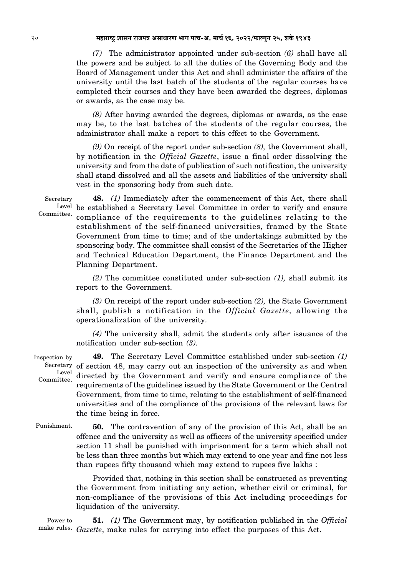*(7)* The administrator appointed under sub-section *(6)* shall have all the powers and be subject to all the duties of the Governing Body and the Board of Management under this Act and shall administer the affairs of the university until the last batch of the students of the regular courses have completed their courses and they have been awarded the degrees, diplomas or awards, as the case may be.

*(8)* After having awarded the degrees, diplomas or awards, as the case may be, to the last batches of the students of the regular courses, the administrator shall make a report to this effect to the Government.

*(9)* On receipt of the report under sub-section *(8),* the Government shall, by notification in the *Official Gazette*, issue a final order dissolving the university and from the date of publication of such notification, the university shall stand dissolved and all the assets and liabilities of the university shall vest in the sponsoring body from such date.

Secretary Committee.

Level be established a Secretary Level Committee in order to verify and ensure **48.** *(1)* Immediately after the commencement of this Act, there shall compliance of the requirements to the guidelines relating to the establishment of the self-financed universities, framed by the State Government from time to time; and of the undertakings submitted by the sponsoring body. The committee shall consist of the Secretaries of the Higher and Technical Education Department, the Finance Department and the Planning Department.

*(2)* The committee constituted under sub-section *(1),* shall submit its report to the Government.

*(3)* On receipt of the report under sub-section *(2),* the State Government shall, publish a notification in the *Official Gazette,* allowing the operationalization of the university.

*(4)* The university shall, admit the students only after issuance of the notification under sub-section *(3).*

Inspection by Secretary of section 48, may carry out an inspection of the university as and when Level Committee. **49.** The Secretary Level Committee established under sub-section *(1)* directed by the Government and verify and ensure compliance of the requirements of the guidelines issued by the State Government or the Central Government, from time to time, relating to the establishment of self-financed universities and of the compliance of the provisions of the relevant laws for the time being in force.

Punishment.

**50.** The contravention of any of the provision of this Act, shall be an offence and the university as well as officers of the university specified under section 11 shall be punished with imprisonment for a term which shall not be less than three months but which may extend to one year and fine not less than rupees fifty thousand which may extend to rupees five lakhs :

Provided that, nothing in this section shall be constructed as preventing the Government from initiating any action, whether civil or criminal, for non-compliance of the provisions of this Act including proceedings for liquidation of the university.

Power to make rules. *Gazette*, make rules for carrying into effect the purposes of this Act.**51.** *(1)* The Government may, by notification published in the *Official*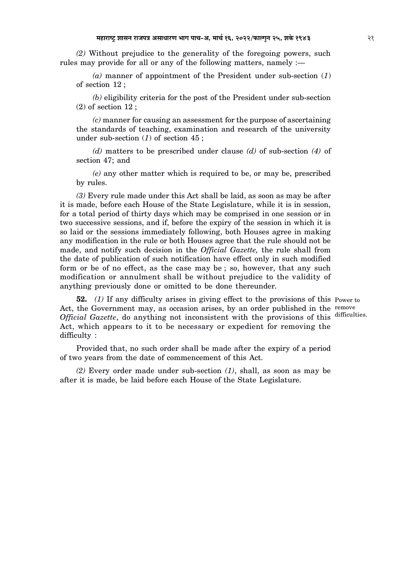*(2)* Without prejudice to the generality of the foregoing powers, such rules may provide for all or any of the following matters, namely :—

*(a)* manner of appointment of the President under sub-section (*1*) of section 12 ;

*(b)* eligibility criteria for the post of the President under sub-section (2) of section 12 ;

*(c)* manner for causing an assessment for the purpose of ascertaining the standards of teaching, examination and research of the university under sub-section (*1*) of section 45 ;

*(d)* matters to be prescribed under clause *(d)* of sub-section *(4)* of section 47; and

*(e)* any other matter which is required to be, or may be, prescribed by rules.

*(3)* Every rule made under this Act shall be laid, as soon as may be after it is made, before each House of the State Legislature, while it is in session, for a total period of thirty days which may be comprised in one session or in two successive sessions, and if, before the expiry of the session in which it is so laid or the sessions immediately following, both Houses agree in making any modification in the rule or both Houses agree that the rule should not be made, and notify such decision in the *Official Gazette,* the rule shall from the date of publication of such notification have effect only in such modified form or be of no effect, as the case may be ; so, however, that any such modification or annulment shall be without prejudice to the validity of anything previously done or omitted to be done thereunder.

**52.** (1) If any difficulty arises in giving effect to the provisions of this Power to Act, the Government may, as occasion arises, by an order published in the remove Official Gazette, do anything not inconsistent with the provisions of this difficulties. Act, which appears to it to be necessary or expedient for removing the difficulty :

Provided that, no such order shall be made after the expiry of a period of two years from the date of commencement of this Act.

*(2)* Every order made under sub-section *(1)*, shall, as soon as may be after it is made, be laid before each House of the State Legislature.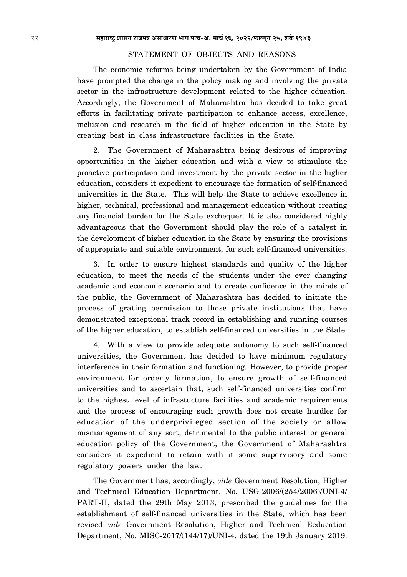# STATEMENT OF OBJECTS AND REASONS

The economic reforms being undertaken by the Government of India have prompted the change in the policy making and involving the private sector in the infrastructure development related to the higher education. Accordingly, the Government of Maharashtra has decided to take great efforts in facilitating private participation to enhance access, excellence, inclusion and research in the field of higher education in the State by creating best in class infrastructure facilities in the State.

2. The Government of Maharashtra being desirous of improving opportunities in the higher education and with a view to stimulate the proactive participation and investment by the private sector in the higher education, considers it expedient to encourage the formation of self-financed universities in the State. This will help the State to achieve excellence in higher, technical, professional and management education without creating any financial burden for the State exchequer. It is also considered highly advantageous that the Government should play the role of a catalyst in the development of higher education in the State by ensuring the provisions of appropriate and suitable environment, for such self-financed universities.

3. In order to ensure highest standards and quality of the higher education, to meet the needs of the students under the ever changing academic and economic scenario and to create confidence in the minds of the public, the Government of Maharashtra has decided to initiate the process of grating permission to those private institutions that have demonstrated exceptional track record in establishing and running courses of the higher education, to establish self-financed universities in the State.

4. With a view to provide adequate autonomy to such self-financed universities, the Government has decided to have minimum regulatory interference in their formation and functioning. However, to provide proper environment for orderly formation, to ensure growth of self-financed universities and to ascertain that, such self-financed universities confirm to the highest level of infrastucture facilities and academic requirements and the process of encouraging such growth does not create hurdles for education of the underprivileged section of the society or allow mismanagement of any sort, detrimental to the public interest or general education policy of the Government, the Government of Maharashtra considers it expedient to retain with it some supervisory and some regulatory powers under the law.

The Government has, accordingly, *vide* Government Resolution, Higher and Technical Education Department, No. USG-2006/(254/2006)/UNI-4/ PART-II, dated the 29th May 2013, prescribed the guidelines for the establishment of self-financed universities in the State, which has been revised *vide* Government Resolution, Higher and Technical Eeducation Department, No. MISC-2017/(144/17)/UNI-4, dated the 19th January 2019.